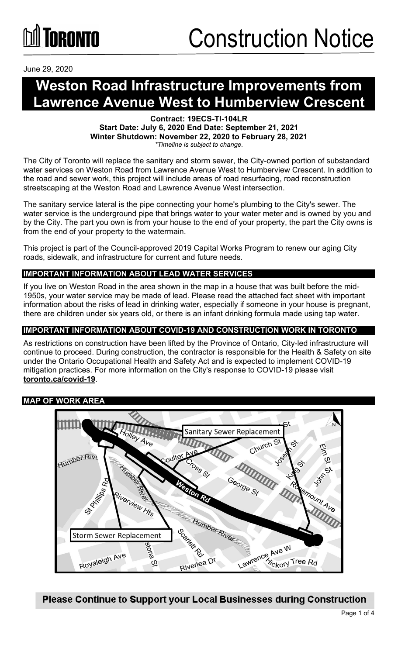

June 29, 2020

### **Weston Road Infrastructure Improvements from Lawrence Avenue West to Humberview Crescent**

**Contract: 19ECS-TI-104LR Start Date: July 6, 2020 End Date: September 21, 2021 Winter Shutdown: November 22, 2020 to February 28, 2021** *\*Timeline is subject to change.*

The City of Toronto will replace the sanitary and storm sewer, the City-owned portion of substandard water services on Weston Road from Lawrence Avenue West to Humberview Crescent. In addition to the road and sewer work, this project will include areas of road resurfacing, road reconstruction streetscaping at the Weston Road and Lawrence Avenue West intersection.

The sanitary service lateral is the pipe connecting your home's plumbing to the City's sewer. The water service is the underground pipe that brings water to your water meter and is owned by you and by the City. The part you own is from your house to the end of your property, the part the City owns is from the end of your property to the watermain.

This project is part of the Council-approved 2019 Capital Works Program to renew our aging City roads, sidewalk, and infrastructure for current and future needs.

#### **IMPORTANT INFORMATION ABOUT LEAD WATER SERVICES**

If you live on Weston Road in the area shown in the map in a house that was built before the mid-1950s, your water service may be made of lead. Please read the attached fact sheet with important information about the risks of lead in drinking water, especially if someone in your house is pregnant, there are children under six years old, or there is an infant drinking formula made using tap water.

#### **IMPORTANT INFORMATION ABOUT COVID-19 AND CONSTRUCTION WORK IN TORONTO**

As restrictions on construction have been lifted by the Province of Ontario, City-led infrastructure will continue to proceed. During construction, the contractor is responsible for the Health & Safety on site under the Ontario Occupational Health and Safety Act and is expected to implement COVID-19 mitigation practices. For more information on the City's response to COVID-19 please visit **[toronto.ca/covid-19](http://www.toronto.ca/covid-19)**.

#### **MAP OF WORK AREA**

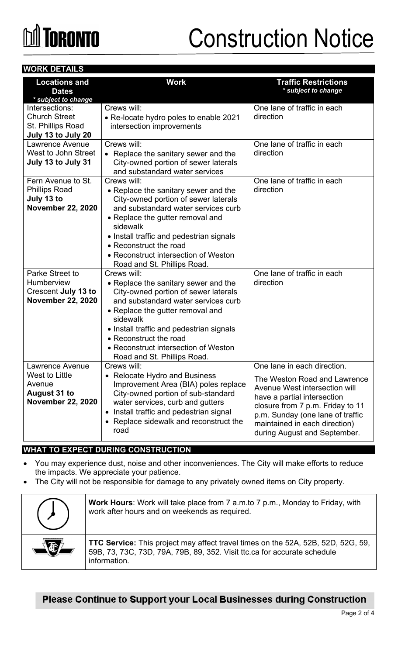# **M** TORONTO

# Construction Notice

#### **WORK DETAILS**

| <b>Locations and</b><br><b>Dates</b><br>* subject to change                                           | <b>Work</b>                                                                                                                                                                                                                                                                                                                     | <b>Traffic Restrictions</b><br>* subject to change                                                                                                                                                                                                                   |
|-------------------------------------------------------------------------------------------------------|---------------------------------------------------------------------------------------------------------------------------------------------------------------------------------------------------------------------------------------------------------------------------------------------------------------------------------|----------------------------------------------------------------------------------------------------------------------------------------------------------------------------------------------------------------------------------------------------------------------|
| Intersections:<br><b>Church Street</b><br>St. Phillips Road<br>July 13 to July 20                     | Crews will:<br>• Re-locate hydro poles to enable 2021<br>intersection improvements                                                                                                                                                                                                                                              | One lane of traffic in each<br>direction                                                                                                                                                                                                                             |
| Lawrence Avenue<br>West to John Street<br>July 13 to July 31                                          | Crews will:<br>• Replace the sanitary sewer and the<br>City-owned portion of sewer laterals<br>and substandard water services                                                                                                                                                                                                   | One lane of traffic in each<br>direction                                                                                                                                                                                                                             |
| Fern Avenue to St.<br><b>Phillips Road</b><br>July 13 to<br><b>November 22, 2020</b>                  | Crews will:<br>• Replace the sanitary sewer and the<br>City-owned portion of sewer laterals<br>and substandard water services curb<br>• Replace the gutter removal and<br>sidewalk<br>• Install traffic and pedestrian signals<br>• Reconstruct the road<br>• Reconstruct intersection of Weston<br>Road and St. Phillips Road. | One lane of traffic in each<br>direction                                                                                                                                                                                                                             |
| Parke Street to<br><b>Humberview</b><br><b>Crescent July 13 to</b><br><b>November 22, 2020</b>        | Crews will:<br>• Replace the sanitary sewer and the<br>City-owned portion of sewer laterals<br>and substandard water services curb<br>• Replace the gutter removal and<br>sidewalk<br>• Install traffic and pedestrian signals<br>• Reconstruct the road<br>• Reconstruct intersection of Weston<br>Road and St. Phillips Road. | One lane of traffic in each<br>direction                                                                                                                                                                                                                             |
| <b>Lawrence Avenue</b><br>West to Little<br>Avenue<br><b>August 31 to</b><br><b>November 22, 2020</b> | Crews will:<br>• Relocate Hydro and Business<br>Improvement Area (BIA) poles replace<br>City-owned portion of sub-standard<br>water services, curb and gutters<br>Install traffic and pedestrian signal<br>$\bullet$<br>• Replace sidewalk and reconstruct the<br>road                                                          | One lane in each direction.<br>The Weston Road and Lawrence<br>Avenue West intersection will<br>have a partial intersection<br>closure from 7 p.m. Friday to 11<br>p.m. Sunday (one lane of traffic<br>maintained in each direction)<br>during August and September. |

#### **WHAT TO EXPECT DURING CONSTRUCTION**

- You may experience dust, noise and other inconveniences. The City will make efforts to reduce the impacts. We appreciate your patience.
- The City will not be responsible for damage to any privately owned items on City property.

| <b>Work Hours:</b> Work will take place from 7 a.m.to 7 p.m., Monday to Friday, with<br>work after hours and on weekends as required.                                               |
|-------------------------------------------------------------------------------------------------------------------------------------------------------------------------------------|
| <b>TTC Service:</b> This project may affect travel times on the 52A, 52B, 52D, 52G, 59,<br>59B, 73, 73C, 73D, 79A, 79B, 89, 352. Visit ttc.ca for accurate schedule<br>information. |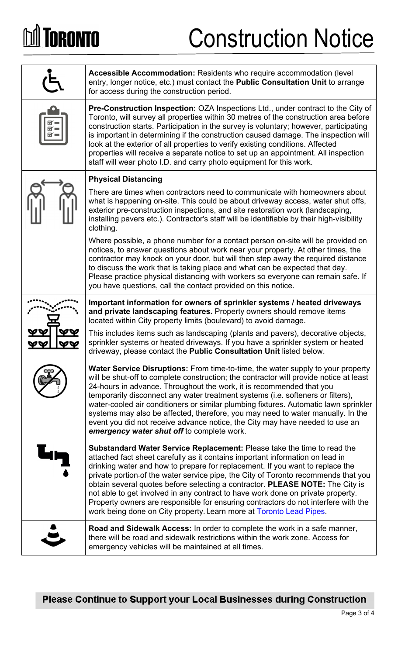# **M** TORONTO

### Construction Notice

| <b>Accessible Accommodation: Residents who require accommodation (level)</b><br>entry, longer notice, etc.) must contact the <b>Public Consultation Unit</b> to arrange<br>for access during the construction period.                                                                                                                                                                                                                                                                                                                                                                                                                                                   |
|-------------------------------------------------------------------------------------------------------------------------------------------------------------------------------------------------------------------------------------------------------------------------------------------------------------------------------------------------------------------------------------------------------------------------------------------------------------------------------------------------------------------------------------------------------------------------------------------------------------------------------------------------------------------------|
| Pre-Construction Inspection: OZA Inspections Ltd., under contract to the City of<br>Toronto, will survey all properties within 30 metres of the construction area before<br>construction starts. Participation in the survey is voluntary; however, participating<br>is important in determining if the construction caused damage. The inspection will<br>look at the exterior of all properties to verify existing conditions. Affected<br>properties will receive a separate notice to set up an appointment. All inspection<br>staff will wear photo I.D. and carry photo equipment for this work.                                                                  |
| <b>Physical Distancing</b>                                                                                                                                                                                                                                                                                                                                                                                                                                                                                                                                                                                                                                              |
| There are times when contractors need to communicate with homeowners about<br>what is happening on-site. This could be about driveway access, water shut offs,<br>exterior pre-construction inspections, and site restoration work (landscaping,<br>installing pavers etc.). Contractor's staff will be identifiable by their high-visibility<br>clothing.                                                                                                                                                                                                                                                                                                              |
| Where possible, a phone number for a contact person on-site will be provided on<br>notices, to answer questions about work near your property. At other times, the<br>contractor may knock on your door, but will then step away the required distance<br>to discuss the work that is taking place and what can be expected that day.<br>Please practice physical distancing with workers so everyone can remain safe. If<br>you have questions, call the contact provided on this notice.                                                                                                                                                                              |
| Important information for owners of sprinkler systems / heated driveways<br>and private landscaping features. Property owners should remove items<br>located within City property limits (boulevard) to avoid damage.                                                                                                                                                                                                                                                                                                                                                                                                                                                   |
| This includes items such as landscaping (plants and pavers), decorative objects,<br>sprinkler systems or heated driveways. If you have a sprinkler system or heated<br>driveway, please contact the <b>Public Consultation Unit</b> listed below.                                                                                                                                                                                                                                                                                                                                                                                                                       |
| <b>Water Service Disruptions:</b> From time-to-time, the water supply to your property<br>will be shut-off to complete construction; the contractor will provide notice at least<br>24-hours in advance. Throughout the work, it is recommended that you<br>temporarily disconnect any water treatment systems (i.e. softeners or filters),<br>water-cooled air conditioners or similar plumbing fixtures. Automatic lawn sprinkler<br>systems may also be affected, therefore, you may need to water manually. In the<br>event you did not receive advance notice, the City may have needed to use an<br>emergency water shut off to complete work.                    |
| <b>Substandard Water Service Replacement:</b> Please take the time to read the<br>attached fact sheet carefully as it contains important information on lead in<br>drinking water and how to prepare for replacement. If you want to replace the<br>private portion-of the water service pipe, the City of Toronto recommends that you<br>obtain several quotes before selecting a contractor. PLEASE NOTE: The City is<br>not able to get involved in any contract to have work done on private property.<br>Property owners are responsible for ensuring contractors do not interfere with the<br>work being done on City property. Learn more at Toronto Lead Pipes. |
| Road and Sidewalk Access: In order to complete the work in a safe manner,<br>there will be road and sidewalk restrictions within the work zone. Access for<br>emergency vehicles will be maintained at all times.                                                                                                                                                                                                                                                                                                                                                                                                                                                       |